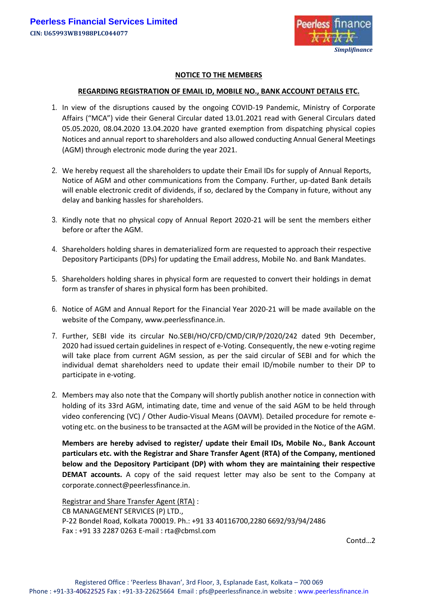

## **NOTICE TO THE MEMBERS**

## **REGARDING REGISTRATION OF EMAIL ID, MOBILE NO., BANK ACCOUNT DETAILS ETC.**

- 1. In view of the disruptions caused by the ongoing COVID-19 Pandemic, Ministry of Corporate Affairs ("MCA") vide their General Circular dated 13.01.2021 read with General Circulars dated 05.05.2020, 08.04.2020 13.04.2020 have granted exemption from dispatching physical copies Notices and annual report to shareholders and also allowed conducting Annual General Meetings (AGM) through electronic mode during the year 2021.
- 2. We hereby request all the shareholders to update their Email IDs for supply of Annual Reports, Notice of AGM and other communications from the Company. Further, up-dated Bank details will enable electronic credit of dividends, if so, declared by the Company in future, without any delay and banking hassles for shareholders.
- 3. Kindly note that no physical copy of Annual Report 2020-21 will be sent the members either before or after the AGM.
- 4. Shareholders holding shares in dematerialized form are requested to approach their respective Depository Participants (DPs) for updating the Email address, Mobile No. and Bank Mandates.
- 5. Shareholders holding shares in physical form are requested to convert their holdings in demat form as transfer of shares in physical form has been prohibited.
- 6. Notice of AGM and Annual Report for the Financial Year 2020-21 will be made available on the website of the Company, [www.peerlessfinance.in.](http://www.peerlessfinance.in/)
- 7. Further, SEBI vide its circular No.SEBI/HO/CFD/CMD/CIR/P/2020/242 dated 9th December, 2020 had issued certain guidelines in respect of e-Voting. Consequently, the new e-voting regime will take place from current AGM session, as per the said circular of SEBI and for which the individual demat shareholders need to update their email ID/mobile number to their DP to participate in e-voting.
- 2. Members may also note that the Company will shortly publish another notice in connection with holding of its 33rd AGM, intimating date, time and venue of the said AGM to be held through video conferencing (VC) / Other Audio-Visual Means (OAVM). Detailed procedure for remote evoting etc. on the business to be transacted at the AGM will be provided in the Notice of the AGM.

**Members are hereby advised to register/ update their Email IDs, Mobile No., Bank Account particulars etc. with the Registrar and Share Transfer Agent (RTA) of the Company, mentioned below and the Depository Participant (DP) with whom they are maintaining their respective DEMAT accounts.** A copy of the said request letter may also be sent to the Company at [corporate.connect@peerlessfinance.in.](mailto:corporate.connect@peerlessfinance.in)

Registrar and Share Transfer Agent (RTA) : CB MANAGEMENT SERVICES (P) LTD., P-22 Bondel Road, Kolkata 700019. Ph.: +91 33 40116700,2280 6692/93/94/2486 Fax : +91 33 2287 0263 E-mail : [rta@cbmsl.com](mailto:cbmsl1@cal2.vsnl.net.in)

Contd…2